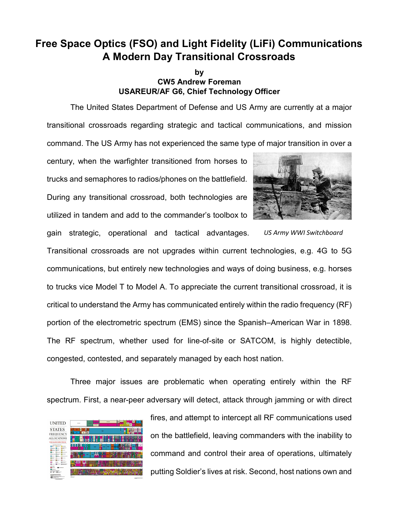## **Free Space Optics (FSO) and Light Fidelity (LiFi) Communications A Modern Day Transitional Crossroads**

## **by CW5 Andrew Foreman USAREUR/AF G6, Chief Technology Officer**

The United States Department of Defense and US Army are currently at a major transitional crossroads regarding strategic and tactical communications, and mission command. The US Army has not experienced the same type of major transition in over a

century, when the warfighter transitioned from horses to trucks and semaphores to radios/phones on the battlefield. During any transitional crossroad, both technologies are utilized in tandem and add to the commander's toolbox to



*US Army WWI Switchboard*

gain strategic, operational and tactical advantages. Transitional crossroads are not upgrades within current technologies, e.g. 4G to 5G communications, but entirely new technologies and ways of doing business, e.g. horses to trucks vice Model T to Model A. To appreciate the current transitional crossroad, it is critical to understand the Army has communicated entirely within the radio frequency (RF) portion of the electrometric spectrum (EMS) since the Spanish–American War in 1898. The RF spectrum, whether used for line-of-site or SATCOM, is highly detectible, congested, contested, and separately managed by each host nation.

Three major issues are problematic when operating entirely within the RF spectrum. First, a near-peer adversary will detect, attack through jamming or with direct



fires, and attempt to intercept all RF communications used on the battlefield, leaving commanders with the inability to command and control their area of operations, ultimately putting Soldier's lives at risk. Second, host nations own and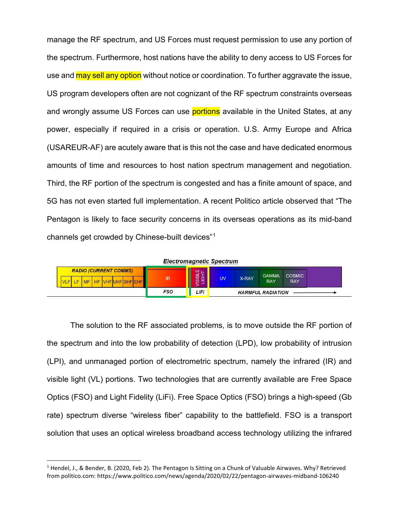manage the RF spectrum, and US Forces must request permission to use any portion of the spectrum. Furthermore, host nations have the ability to deny access to US Forces for use and **may sell any option** without notice or coordination. To further aggravate the issue, US program developers often are not cognizant of the RF spectrum constraints overseas and wrongly assume US Forces can use **portions** available in the United States, at any power, especially if required in a crisis or operation. U.S. Army Europe and Africa (USAREUR-AF) are acutely aware that is this not the case and have dedicated enormous amounts of time and resources to host nation spectrum management and negotiation. Third, the RF portion of the spectrum is congested and has a finite amount of space, and 5G has not even started full implementation. A recent Politico article observed that "The Pentagon is likely to face security concerns in its overseas operations as its mid-band channels get crowded by Chinese-built devices"[1](#page-1-0)



The solution to the RF associated problems, is to move outside the RF portion of the spectrum and into the low probability of detection (LPD), low probability of intrusion (LPI), and unmanaged portion of electrometric spectrum, namely the infrared (IR) and visible light (VL) portions. Two technologies that are currently available are Free Space Optics (FSO) and Light Fidelity (LiFi). Free Space Optics (FSO) brings a high-speed (Gb rate) spectrum diverse "wireless fiber" capability to the battlefield. FSO is a transport solution that uses an optical wireless broadband access technology utilizing the infrared

<span id="page-1-0"></span> <sup>1</sup> Hendel, J., & Bender, B. (2020, Feb 2). The Pentagon Is Sitting on a Chunk of Valuable Airwaves. Why? Retrieved from politico.com: https://www.politico.com/news/agenda/2020/02/22/pentagon-airwaves-midband-106240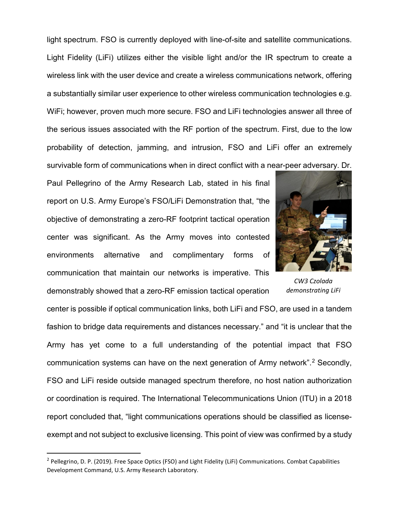light spectrum. FSO is currently deployed with line-of-site and satellite communications. Light Fidelity (LiFi) utilizes either the visible light and/or the IR spectrum to create a wireless link with the user device and create a wireless communications network, offering a substantially similar user experience to other wireless communication technologies e.g. WiFi; however, proven much more secure. FSO and LiFi technologies answer all three of the serious issues associated with the RF portion of the spectrum. First, due to the low probability of detection, jamming, and intrusion, FSO and LiFi offer an extremely survivable form of communications when in direct conflict with a near-peer adversary. Dr.

Paul Pellegrino of the Army Research Lab, stated in his final report on U.S. Army Europe's FSO/LiFi Demonstration that, "the objective of demonstrating a zero-RF footprint tactical operation center was significant. As the Army moves into contested environments alternative and complimentary forms of communication that maintain our networks is imperative. This

demonstrably showed that a zero-RF emission tactical operation



*CW3 Czolada demonstrating LiFi*

center is possible if optical communication links, both LiFi and FSO, are used in a tandem fashion to bridge data requirements and distances necessary." and "it is unclear that the Army has yet come to a full understanding of the potential impact that FSO communication systems can have on the next generation of Army network". [2](#page-2-0) Secondly, FSO and LiFi reside outside managed spectrum therefore, no host nation authorization or coordination is required. The International Telecommunications Union (ITU) in a 2018 report concluded that, "light communications operations should be classified as licenseexempt and not subject to exclusive licensing. This point of view was confirmed by a study

<span id="page-2-0"></span><sup>&</sup>lt;sup>2</sup> Pellegrino, D. P. (2019). Free Space Optics (FSO) and Light Fidelity (LiFi) Communications. Combat Capabilities Development Command, U.S. Army Research Laboratory.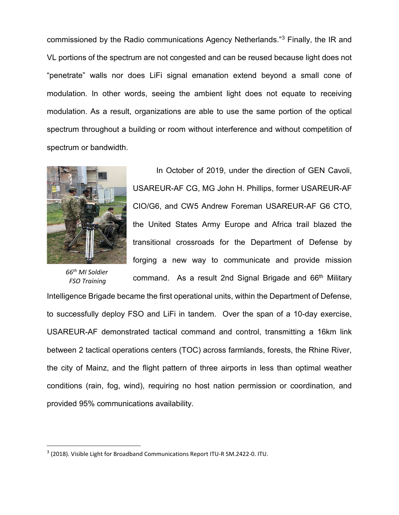commissioned by the Radio communications Agency Netherlands."[3](#page-3-0) Finally, the IR and VL portions of the spectrum are not congested and can be reused because light does not "penetrate" walls nor does LiFi signal emanation extend beyond a small cone of modulation. In other words, seeing the ambient light does not equate to receiving modulation. As a result, organizations are able to use the same portion of the optical spectrum throughout a building or room without interference and without competition of spectrum or bandwidth.



*66th MI Soldier FSO Training* 

In October of 2019, under the direction of GEN Cavoli, USAREUR-AF CG, MG John H. Phillips, former USAREUR-AF CIO/G6, and CW5 Andrew Foreman USAREUR-AF G6 CTO, the United States Army Europe and Africa trail blazed the transitional crossroads for the Department of Defense by forging a new way to communicate and provide mission command. As a result 2nd Signal Brigade and 66<sup>th</sup> Military

Intelligence Brigade became the first operational units, within the Department of Defense, to successfully deploy FSO and LiFi in tandem. Over the span of a 10-day exercise, USAREUR-AF demonstrated tactical command and control, transmitting a 16km link between 2 tactical operations centers (TOC) across farmlands, forests, the Rhine River, the city of Mainz, and the flight pattern of three airports in less than optimal weather conditions (rain, fog, wind), requiring no host nation permission or coordination, and provided 95% communications availability.

<span id="page-3-0"></span> <sup>3</sup> (2018). Visible Light for Broadband Communications Report ITU-R SM.2422-0. ITU.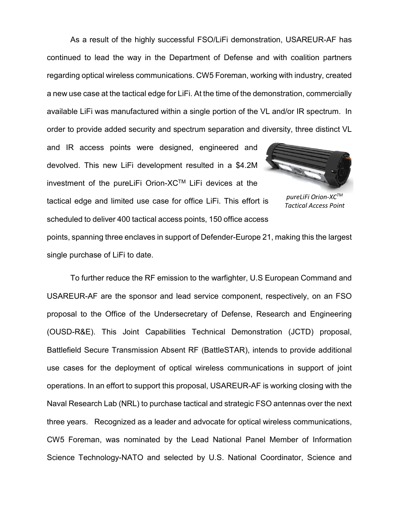As a result of the highly successful FSO/LiFi demonstration, USAREUR-AF has continued to lead the way in the Department of Defense and with coalition partners regarding optical wireless communications. CW5 Foreman, working with industry, created a new use case at the tactical edge for LiFi. At the time of the demonstration, commercially available LiFi was manufactured within a single portion of the VL and/or IR spectrum. In order to provide added security and spectrum separation and diversity, three distinct VL

and IR access points were designed, engineered and devolved. This new LiFi development resulted in a \$4.2M investment of the pureLiFi Orion-XCTM LiFi devices at the tactical edge and limited use case for office LiFi. This effort is scheduled to deliver 400 tactical access points, 150 office access



*pureLiFi Orion-XCTM Tactical Access Point*

points, spanning three enclaves in support of Defender-Europe 21, making this the largest single purchase of LiFi to date.

To further reduce the RF emission to the warfighter, U.S European Command and USAREUR-AF are the sponsor and lead service component, respectively, on an FSO proposal to the Office of the Undersecretary of Defense, Research and Engineering (OUSD-R&E). This Joint Capabilities Technical Demonstration (JCTD) proposal, Battlefield Secure Transmission Absent RF (BattleSTAR), intends to provide additional use cases for the deployment of optical wireless communications in support of joint operations. In an effort to support this proposal, USAREUR-AF is working closing with the Naval Research Lab (NRL) to purchase tactical and strategic FSO antennas over the next three years. Recognized as a leader and advocate for optical wireless communications, CW5 Foreman, was nominated by the Lead National Panel Member of Information Science Technology-NATO and selected by U.S. National Coordinator, Science and